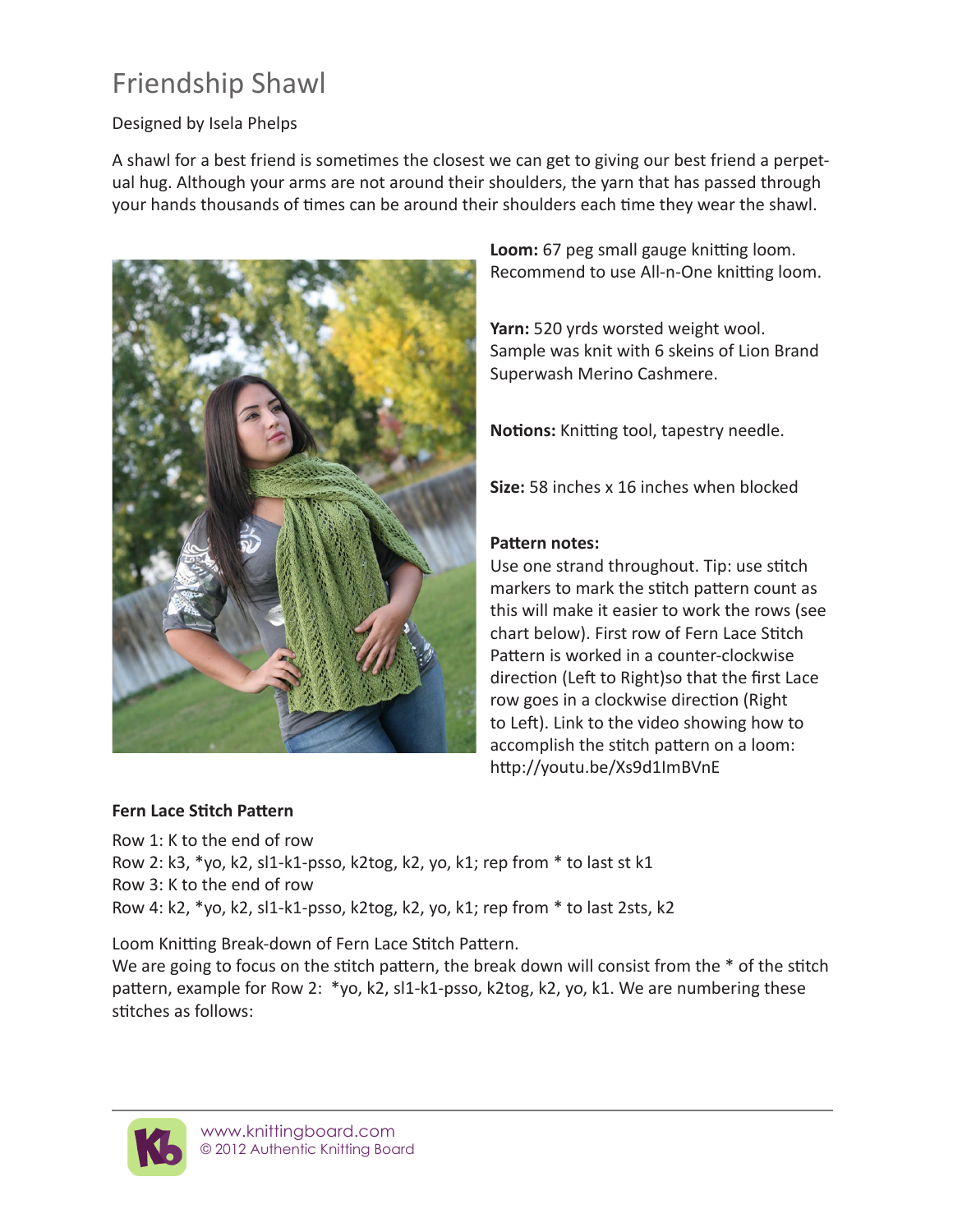## Friendship Shawl

### Designed by Isela Phelps

A shawl for a best friend is sometimes the closest we can get to giving our best friend a perpetual hug. Although your arms are not around their shoulders, the yarn that has passed through your hands thousands of times can be around their shoulders each time they wear the shawl.



**Loom:** 67 peg small gauge knitting loom. Recommend to use All-n-One knitting loom.

**Yarn:** 520 yrds worsted weight wool. Sample was knit with 6 skeins of Lion Brand Superwash Merino Cashmere.

**Notions:** Knitting tool, tapestry needle.

**Size:** 58 inches x 16 inches when blocked

### **Pattern notes:**

Use one strand throughout. Tip: use stitch markers to mark the stitch pattern count as this will make it easier to work the rows (see chart below). First row of Fern Lace Stitch Pattern is worked in a counter-clockwise direction (Left to Right)so that the first Lace row goes in a clockwise direction (Right to Left). Link to the video showing how to accomplish the stitch pattern on a loom: http://youtu.be/Xs9d1ImBVnE

### **Fern Lace Stitch Pattern**

Row 1: K to the end of row Row 2: k3, \*yo, k2, sl1-k1-psso, k2tog, k2, yo, k1; rep from \* to last st k1 Row 3: K to the end of row Row 4: k2, \*yo, k2, sl1-k1-psso, k2tog, k2, yo, k1; rep from \* to last 2sts, k2

Loom Knitting Break-down of Fern Lace Stitch Pattern.

We are going to focus on the stitch pattern, the break down will consist from the  $*$  of the stitch pattern, example for Row 2: \*yo, k2, sl1-k1-psso, k2tog, k2, yo, k1. We are numbering these stitches as follows:

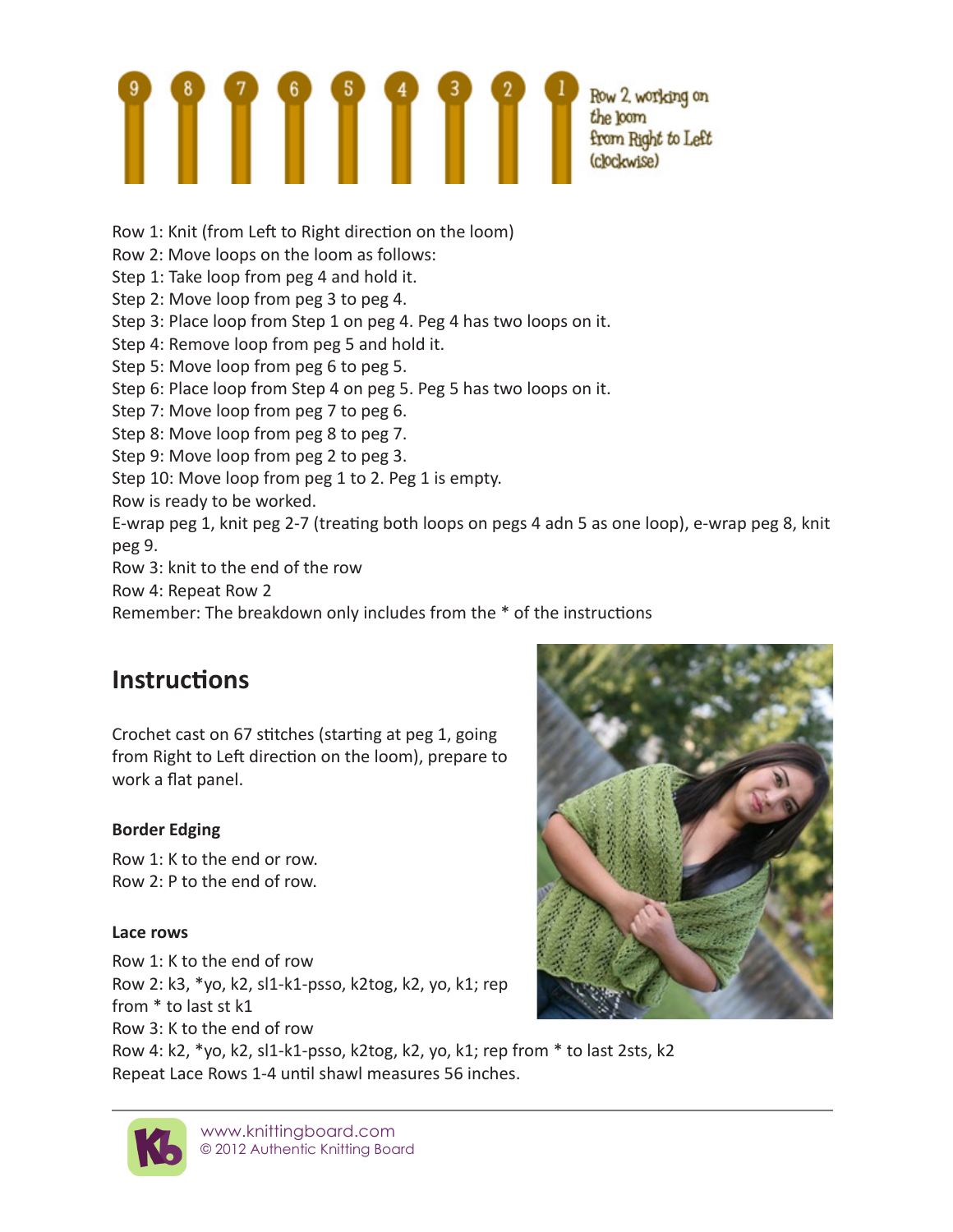# $\begin{array}{|c|c|c|c|}\n \hline\n 1 & \text{Row 2, working on the form} \\
\hline\n 2 & \text{Row 2, working on the form} \\
3 & \text{Row 2, working on} \\
4 & \text{Row 3, working on} \\
5 & \text{Row 4, working on} \\
6 & \text{Row 5, total} \\
7 & \text{Row 6, 6, 6}\n \hline\n\end{array}$

Row 1: Knit (from Left to Right direction on the loom)

- Row 2: Move loops on the loom as follows:
- Step 1: Take loop from peg 4 and hold it.
- Step 2: Move loop from peg 3 to peg 4.
- Step 3: Place loop from Step 1 on peg 4. Peg 4 has two loops on it.
- Step 4: Remove loop from peg 5 and hold it.
- Step 5: Move loop from peg 6 to peg 5.
- Step 6: Place loop from Step 4 on peg 5. Peg 5 has two loops on it.
- Step 7: Move loop from peg 7 to peg 6.
- Step 8: Move loop from peg 8 to peg 7.
- Step 9: Move loop from peg 2 to peg 3.
- Step 10: Move loop from peg 1 to 2. Peg 1 is empty.
- Row is ready to be worked.
- E-wrap peg 1, knit peg 2-7 (treating both loops on pegs 4 adn 5 as one loop), e-wrap peg 8, knit peg 9.
- Row 3: knit to the end of the row
- Row 4: Repeat Row 2
- Remember: The breakdown only includes from the \* of the instructions

### **Instructions**

Crochet cast on 67 stitches (starting at peg 1, going from Right to Left direction on the loom), prepare to work a flat panel.

### **Border Edging**

Row 1: K to the end or row. Row 2: P to the end of row.

### **Lace rows**

Row 1: K to the end of row Row 2: k3, \*yo, k2, sl1-k1-psso, k2tog, k2, yo, k1; rep from \* to last st k1 Row 3: K to the end of row Row 4: k2, \*yo, k2, sl1-k1-psso, k2tog, k2, yo, k1; rep from \* to last 2sts, k2 Repeat Lace Rows 1-4 until shawl measures 56 inches.